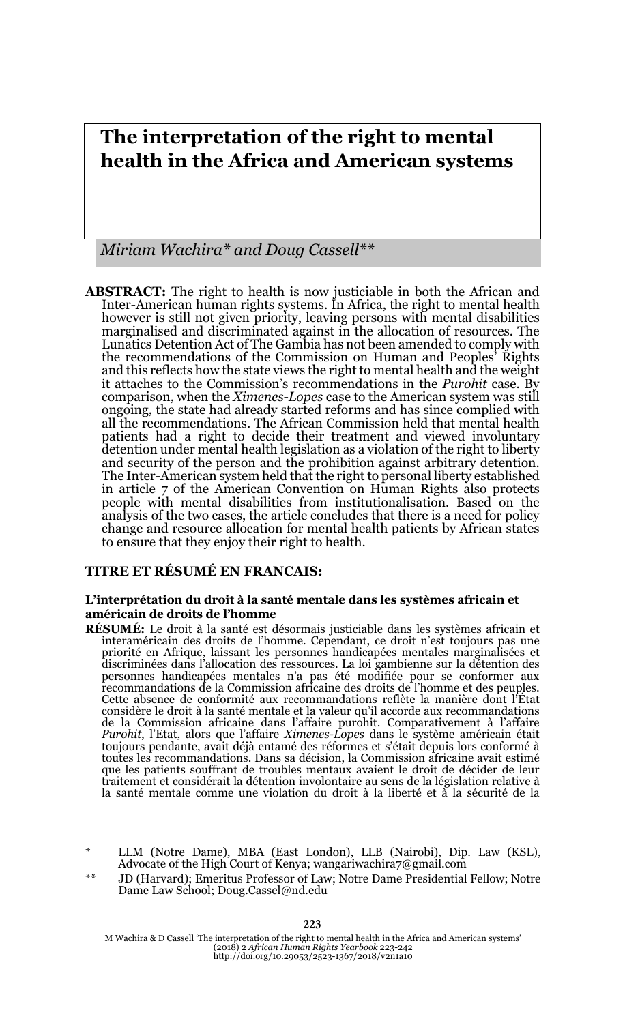# **The interpretation of the right to mental health in the Africa and American systems**

*Miriam Wachira\* and Doug Cassell\*\**

**ABSTRACT:** The right to health is now justiciable in both the African and Inter-American human rights systems. In Africa, the right to mental health however is still not given priority, leaving persons with mental disabilities marginalised and discriminated against in the allocation of resources. The Lunatics Detention Act of The Gambia has not been amended to comply with the recommendations of the Commission on Human and Peoples' Rights and this reflects how the state views the right to mental health and the weight it attaches to the Commission's recommendations in the *Purohit* case. By comparison, when the *Ximenes-Lopes* case to the American system was still ongoing, the state had already started reforms and has since complied with all the recommendations. The African Commission held that mental health patients had a right to decide their treatment and viewed involuntary detention under mental health legislation as a violation of the right to liberty and security of the person and the prohibition against arbitrary detention. The Inter-American system held that the right to personal liberty established in article 7 of the American Convention on Human Rights also protects people with mental disabilities from institutionalisation. Based on the analysis of the two cases, the article concludes that there is a need for policy change and resource allocation for mental health patients by African states to ensure that they enjoy their right to health.

### **TITRE ET RÉSUMÉ EN FRANCAIS:**

#### **L'interprétation du droit à la santé mentale dans les systèmes africain et américain de droits de l'homme**

**RÉSUMÉ:** Le droit à la santé est désormais justiciable dans les systèmes africain et interaméricain des droits de l'homme. Cependant, ce droit n'est toujours pas une priorité en Afrique, laissant les personnes handicapées mentales marginalisées et discriminées dans l'allocation des ressources. La loi gambienne sur la détention des personnes handicapées mentales n'a pas été modifiée pour se conformer aux recommandations de la Commission africaine des droits de l'homme et des peuples. Cette absence de conformité aux recommandations reflète la manière dont l'État considère le droit à la santé mentale et la valeur qu'il accorde aux recommandations de la Commission africaine dans l'affaire purohit. Comparativement à l'affaire *Purohit*, l'Etat, alors que l'affaire *Ximenes-Lopes* dans le système américain était toujours pendante, avait déjà entamé des réformes et s'était depuis lors conformé à toutes les recommandations. Dans sa décision, la Commission africaine avait estimé que les patients souffrant de troubles mentaux avaient le droit de décider de leur traitement et considérait la détention involontaire au sens de la législation relative à la santé mentale comme une violation du droit à la liberté et à la sécurité de la

LLM (Notre Dame), MBA (East London), LLB (Nairobi), Dip. Law (KSL), Advocate of the High Court of Kenya; wangariwachira7@gmail.com

JD (Harvard); Emeritus Professor of Law; Notre Dame Presidential Fellow; Notre Dame Law School; Doug.Cassel@nd.edu

M Wachira & D Cassell 'The interpretation of the right to mental health in the Africa and American systems' (2018) 2 *African Human Rights Yearbook* 223-242 http://doi.org/10.29053/2523-1367/2018/v2n1a10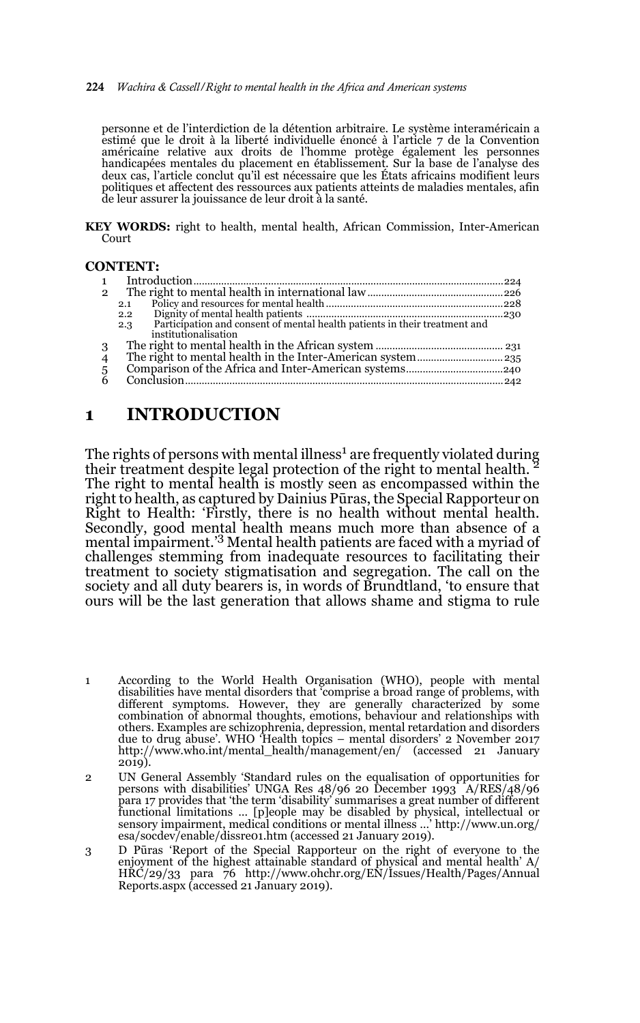#### 224 *Wachira & Cassell/Right to mental health in the Africa and American systems*

personne et de l'interdiction de la détention arbitraire. Le système interaméricain a estimé que le droit à la liberté individuelle énoncé à l'article 7 de la Convention américaine relative aux droits de l'homme protège également les personnes handicapées mentales du placement en établissement. Sur la base de l'analyse des deux cas, l'article conclut qu'il est nécessaire que les États africains modifient leurs politiques et affectent des ressources aux patients atteints de maladies mentales, afin de leur assurer la jouissance de leur droit à la santé.

**KEY WORDS:** right to health, mental health, African Commission, Inter-American Court

### **CONTENT:**

| $\overline{2}$ |                                                                                                                                                                                                                                                                                                                                                                                                                                                                                                                                                                               |  |
|----------------|-------------------------------------------------------------------------------------------------------------------------------------------------------------------------------------------------------------------------------------------------------------------------------------------------------------------------------------------------------------------------------------------------------------------------------------------------------------------------------------------------------------------------------------------------------------------------------|--|
|                | 2.1                                                                                                                                                                                                                                                                                                                                                                                                                                                                                                                                                                           |  |
|                | $\begin{minipage}{0.9\linewidth} Dignity of mental health patients  \end{minipage} \begin{minipage}{0.9\linewidth} \textit{logarithmic} \end{minipage} \begin{minipage}{0.9\linewidth} \textit{logarithmic} \end{minipage} \begin{minipage}{0.9\linewidth} \textit{logarithmic} \end{minipage} \begin{minipage}{0.9\linewidth} \textit{logarithmic} \end{minipage} \begin{minipage}{0.9\linewidth} \textit{logarithmic} \end{minipage} \begin{minipage}{0.9\linewidth} \textit{logarithmic} \end{minipage} \begin{minipage}{0.9\linewidth} \textit{logarithmic} \end{$<br>2.2 |  |
|                | 2.3                                                                                                                                                                                                                                                                                                                                                                                                                                                                                                                                                                           |  |
|                | institutionalisation                                                                                                                                                                                                                                                                                                                                                                                                                                                                                                                                                          |  |
| 3              |                                                                                                                                                                                                                                                                                                                                                                                                                                                                                                                                                                               |  |
| 4              |                                                                                                                                                                                                                                                                                                                                                                                                                                                                                                                                                                               |  |
|                |                                                                                                                                                                                                                                                                                                                                                                                                                                                                                                                                                                               |  |
| $\frac{5}{6}$  |                                                                                                                                                                                                                                                                                                                                                                                                                                                                                                                                                                               |  |
|                |                                                                                                                                                                                                                                                                                                                                                                                                                                                                                                                                                                               |  |

## **1 INTRODUCTION**

The rights of persons with mental illness<sup>1</sup> are frequently violated during their treatment despite legal protection of the right to mental health. 2 The right to mental health is mostly seen as encompassed within the right to health, as captured by Dainius Pūras, the Special Rapporteur on Right to Health: 'Firstly, there is no health without mental health. Secondly, good mental health means much more than absence of a mental impairment.'3 Mental health patients are faced with a myriad of challenges stemming from inadequate resources to facilitating their treatment to society stigmatisation and segregation. The call on the society and all duty bearers is, in words of Brundtland, 'to ensure that ours will be the last generation that allows shame and stigma to rule

<sup>1</sup> According to the World Health Organisation (WHO), people with mental disabilities have mental disorders that 'comprise a broad range of problems, with different symptoms. However, they are generally characterized by some combination of abnormal thoughts, emotions, behaviour and relationships with others. Examples are schizophrenia, depression, mental retardation and disorders due to drug abuse'. WHO 'Health topics – mental disorders' 2 November 2017 http://www.who.int/mental\_health/management/en/ (accessed 21 January 2019).

<sup>2</sup> UN General Assembly 'Standard rules on the equalisation of opportunities for persons with disabilities' UNGA Res 48/96 20 December 1993 A/RES/48/96 para 17 provides that 'the term 'disability' summarises a great number of different functional limitations … [p]eople may be disabled by physical, intellectual or sensory impairment, medical conditions or mental illness …' http://www.un.org/ esa/socdev/enable/dissre01.htm (accessed 21 January 2019).

<sup>3</sup> D Pūras 'Report of the Special Rapporteur on the right of everyone to the enjoyment of the highest attainable standard of physical and mental health' A/ HRC/29/33 para 76 http://www.ohchr.org/EN/Issues/Health/Pages/Annual Reports.aspx (accessed 21 January 2019).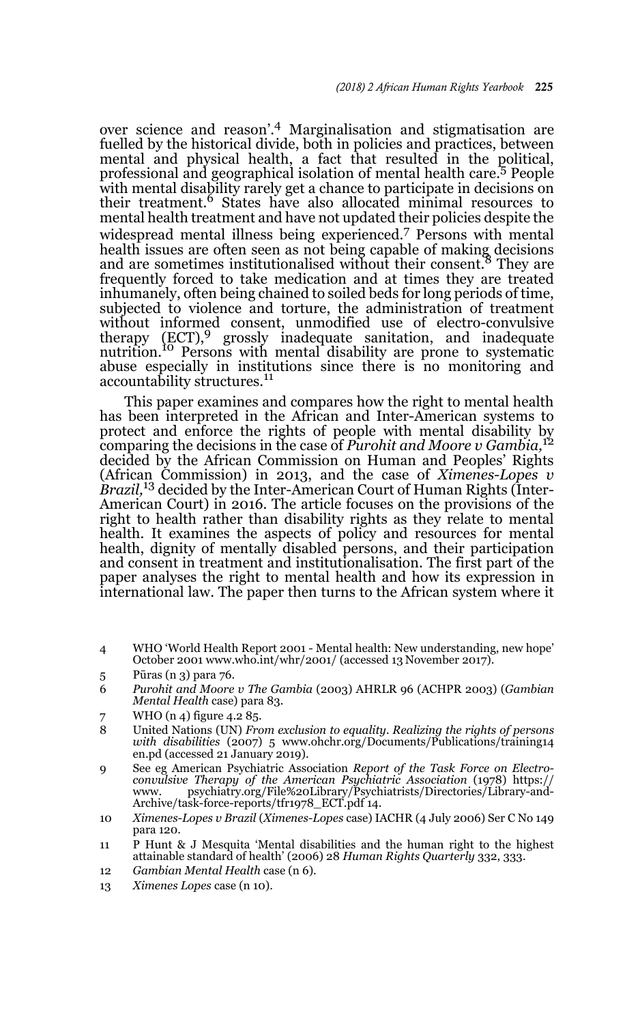over science and reason'.4 Marginalisation and stigmatisation are fuelled by the historical divide, both in policies and practices, between mental and physical health, a fact that resulted in the political, professional and geographical isolation of mental health care.5 People with mental disability rarely get a chance to participate in decisions on their treatment.6 States have also allocated minimal resources to mental health treatment and have not updated their policies despite the widespread mental illness being experienced.7 Persons with mental health issues are often seen as not being capable of making decisions and are sometimes institutionalised without their consent.<sup>8</sup> They are frequently forced to take medication and at times they are treated inhumanely, often being chained to soiled beds for long periods of time, subjected to violence and torture, the administration of treatment without informed consent, unmodified use of electro-convulsive therapy (ECT),<sup>9</sup> grossly inadequate sanitation, and inadequate nutrition.<sup>10</sup> Persons with mental disability are prone to systematic abuse especially in institutions since there is no monitoring and accountability structures.<sup>11</sup>

This paper examines and compares how the right to mental health has been interpreted in the African and Inter-American systems to protect and enforce the rights of people with mental disability by comparing the decisions in the case of *Purohit and Moore v Gambia,*<sup>12</sup> decided by the African Commission on Human and Peoples' Rights (African Commission) in 2013, and the case of *Ximenes-Lopes v Brazil,*13 decided by the Inter-American Court of Human Rights (Inter-American Court) in 2016. The article focuses on the provisions of the right to health rather than disability rights as they relate to mental health. It examines the aspects of policy and resources for mental health, dignity of mentally disabled persons, and their participation and consent in treatment and institutionalisation. The first part of the paper analyses the right to mental health and how its expression in international law. The paper then turns to the African system where it

4 WHO 'World Health Report 2001 - Mental health: New understanding, new hope' October 2001 www.who.int/whr/2001/ (accessed 13 November 2017).

- 6 *Purohit and Moore v The Gambia* (2003) AHRLR 96 (ACHPR 2003) (*Gambian Mental Health* case) para 83.
- WHO  $(n_4)$  figure 4.2 85.
- 8 United Nations (UN) *From exclusion to equality. Realizing the rights of persons with disabilities* (2007) 5 www.ohchr.org/Documents/Publications/training14 en.pd (accessed 21 January 2019).
- 9 See eg American Psychiatric Association *Report of the Task Force on Electroconvulsive Therapy of the American Psychiatric Association* (1978) https:// www. psychiatry.org/File%20Library/Psychiatrists/Directories/Library-and-Archive/task-force-reports/tfr1978\_ECT.pdf 14.
- 10 *Ximenes-Lopes v Brazil* (*Ximenes-Lopes* case) IACHR (4 July 2006) Ser C No 149 para 120.
- 11 P Hunt & J Mesquita 'Mental disabilities and the human right to the highest attainable standard of health' (2006) 28 *Human Rights Quarterly* 332, 333.
- 12 *Gambian Mental Health* case (n 6).
- 13 *Ximenes Lopes* case (n 10).

<sup>5</sup> Pūras (n 3) para 76.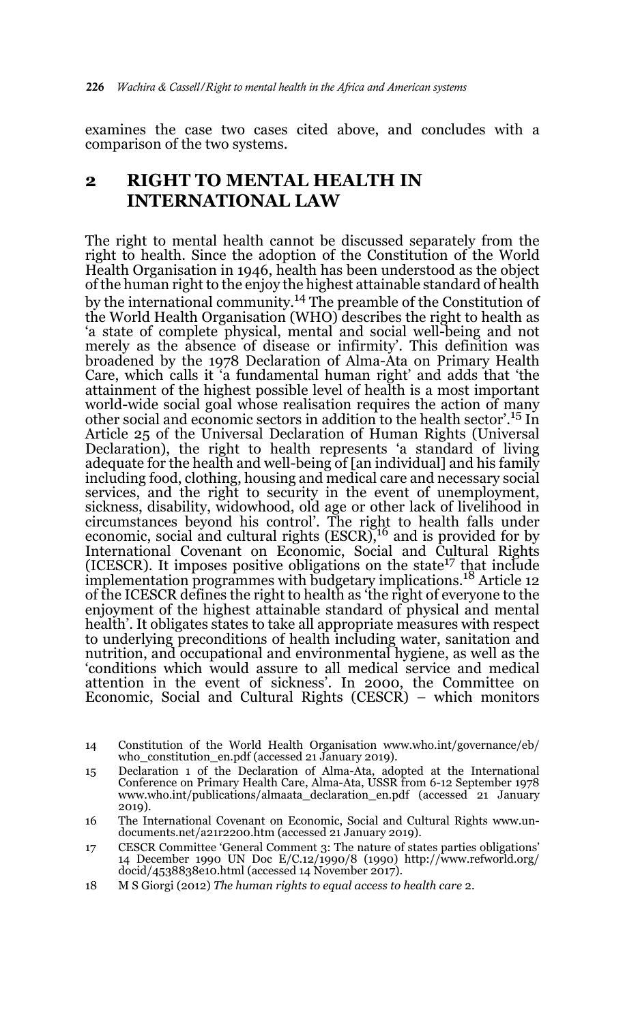examines the case two cases cited above, and concludes with a comparison of the two systems.

## **2 RIGHT TO MENTAL HEALTH IN INTERNATIONAL LAW**

The right to mental health cannot be discussed separately from the right to health. Since the adoption of the Constitution of the World Health Organisation in 1946, health has been understood as the object of the human right to the enjoy the highest attainable standard of health by the international community.14 The preamble of the Constitution of the World Health Organisation (WHO) describes the right to health as 'a state of complete physical, mental and social well-being and not merely as the absence of disease or infirmity'. This definition was broadened by the 1978 Declaration of Alma-Ata on Primary Health Care, which calls it 'a fundamental human right' and adds that 'the attainment of the highest possible level of health is a most important world-wide social goal whose realisation requires the action of many other social and economic sectors in addition to the health sector'.15 In Article 25 of the Universal Declaration of Human Rights (Universal Declaration), the right to health represents 'a standard of living adequate for the health and well-being of [an individual] and his family including food, clothing, housing and medical care and necessary social services, and the right to security in the event of unemployment, sickness, disability, widowhood, old age or other lack of livelihood in circumstances beyond his control'. The right to health falls under economic, social and cultural rights (ESCR),<sup>16</sup> and is provided for by International Covenant on Economic, Social and Cultural Rights (ICESCR). It imposes positive obligations on the state<sup>17</sup> that include implementation programmes with budgetary implications.18 Article 12 of the ICESCR defines the right to health as 'the right of everyone to the enjoyment of the highest attainable standard of physical and mental health'. It obligates states to take all appropriate measures with respect to underlying preconditions of health including water, sanitation and nutrition, and occupational and environmental hygiene, as well as the 'conditions which would assure to all medical service and medical attention in the event of sickness'. In 2000, the Committee on Economic, Social and Cultural Rights (CESCR) – which monitors

- 15 Declaration 1 of the Declaration of Alma-Ata, adopted at the International Conference on Primary Health Care, Alma-Ata, USSR from 6-12 September 1978 www.who.int/publications/almaata\_declaration\_en.pdf (accessed 21 January 2019).
- 16 The International Covenant on Economic, Social and Cultural Rights www.undocuments.net/a21r2200.htm (accessed 21 January 2019).
- 17 CESCR Committee 'General Comment 3: The nature of states parties obligations' 14 December 1990 UN Doc E/C.12/1990/8 (1990) http://www.refworld.org/ docid/4538838e10.html (accessed 14 November 2017).
- 18 M S Giorgi (2012) *The human rights to equal access to health care* 2.

<sup>14</sup> Constitution of the World Health Organisation www.who.int/governance/eb/ who\_constitution\_en.pdf (accessed 21 January 2019).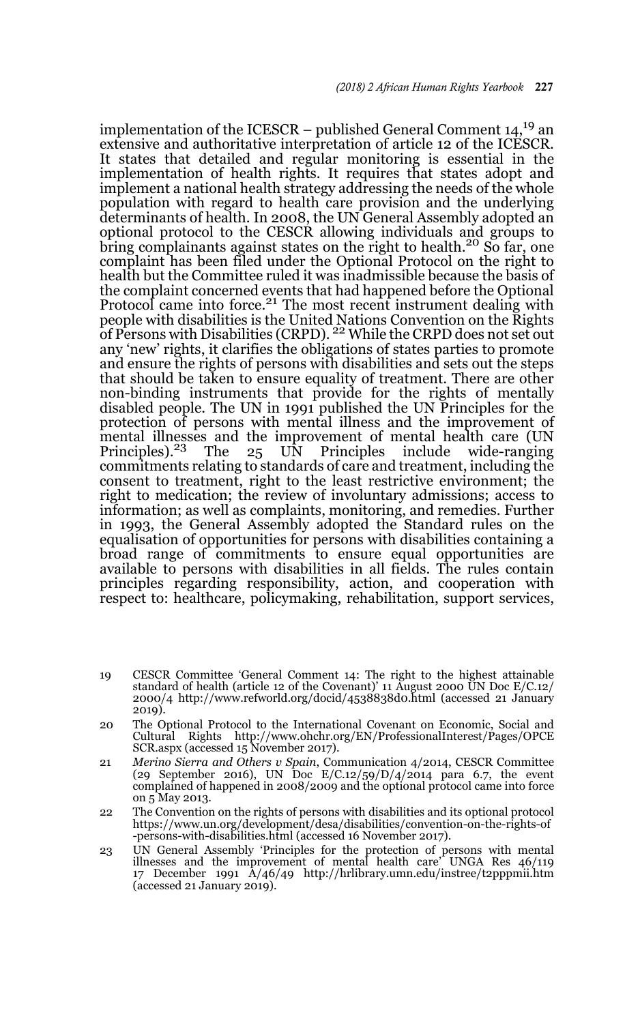implementation of the ICESCR – published General Comment  $14$ ,<sup>19</sup> an extensive and authoritative interpretation of article 12 of the ICESCR. It states that detailed and regular monitoring is essential in the implementation of health rights. It requires that states adopt and implement a national health strategy addressing the needs of the whole population with regard to health care provision and the underlying determinants of health. In 2008, the UN General Assembly adopted an optional protocol to the CESCR allowing individuals and groups to bring complainants against states on the right to health.<sup>20</sup> So far, one complaint has been filed under the Optional Protocol on the right to health but the Committee ruled it was inadmissible because the basis of the complaint concerned events that had happened before the Optional Protocol came into force.<sup>21</sup> The most recent instrument dealing with people with disabilities is the United Nations Convention on the Rights<br>of Persons with Disabilities (CRPD). <sup>22</sup> While the CRPD does not set out any 'new' rights, it clarifies the obligations of states parties to promote and ensure the rights of persons with disabilities and sets out the steps that should be taken to ensure equality of treatment. There are other non-binding instruments that provide for the rights of mentally disabled people. The UN in 1991 published the UN Principles for the protection of persons with mental illness and the improvement of mental illnesses and the improvement of mental health care (UN<br>Principles).<sup>23</sup> The 25 UN Principles include wide-ranging commitments relating to standards of care and treatment, including the consent to treatment, right to the least restrictive environment; the right to medication; the review of involuntary admissions; access to information; as well as complaints, monitoring, and remedies. Further in 1993, the General Assembly adopted the Standard rules on the equalisation of opportunities for persons with disabilities containing a broad range of commitments to ensure equal opportunities are available to persons with disabilities in all fields. The rules contain principles regarding responsibility, action, and cooperation with respect to: healthcare, policymaking, rehabilitation, support services,

- 19 CESCR Committee 'General Comment 14: The right to the highest attainable standard of health (article 12 of the Covenant)' 11 August 2000 UN Doc E/C.12/ 2000/4 http://www.refworld.org/docid/4538838d0.html (accessed 21 January 2019).
- 20 The Optional Protocol to the International Covenant on Economic, Social and Cultural Rights http://www.ohchr.org/EN/ProfessionalInterest/Pages/OPCE SCR.aspx (accessed 15 November 2017).
- 21 *Merino Sierra and Others v Spain*, Communication 4/2014, CESCR Committee (29 September 2016), UN Doc E/C.12/59/D/4/2014 para 6.7, the event complained of happened in 2008/2009 and the optional protocol came into force on 5 May 2013.
- 22 The Convention on the rights of persons with disabilities and its optional protocol https://www.un.org/development/desa/disabilities/convention-on-the-rights-of -persons-with-disabilities.html (accessed 16 November 2017).
- 23 UN General Assembly 'Principles for the protection of persons with mental illnesses and the improvement of mental health care' UNGA Res 46/119 17 December 1991 A/46/49 http://hrlibrary.umn.edu/instree/t2pppmii.htm (accessed 21 January 2019).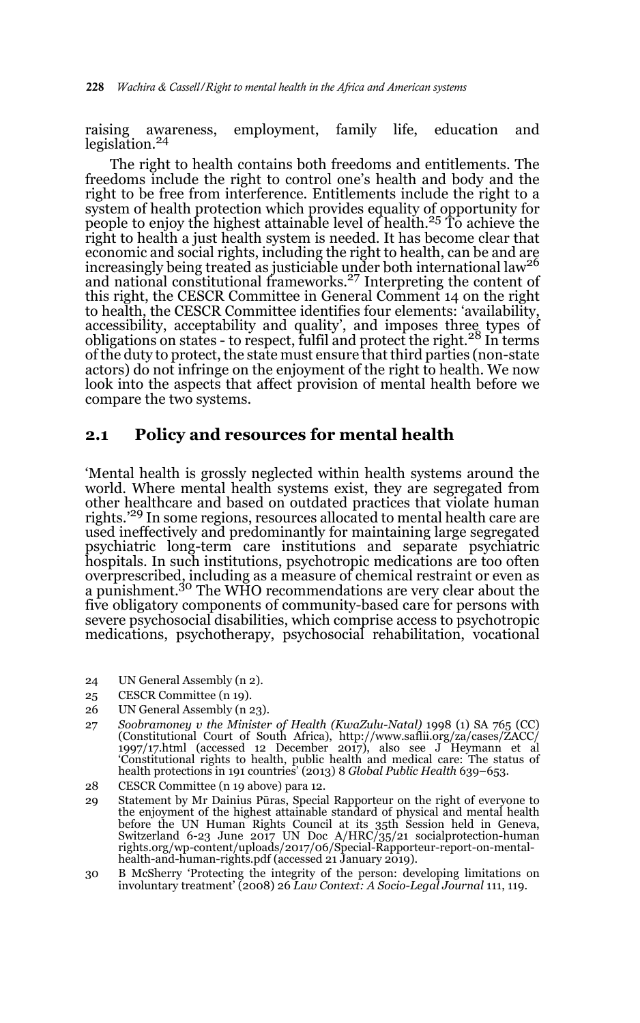raising awareness, employment, family life, education and legislation.<sup>24</sup>

The right to health contains both freedoms and entitlements. The freedoms include the right to control one's health and body and the right to be free from interference. Entitlements include the right to a system of health protection which provides equality of opportunity for people to enjoy the highest attainable level of health.<sup>25</sup> To achieve the right to health a just health system is needed. It has become clear that economic and social rights, including the right to health, can be and are<br>increasingly being treated as justiciable under both international law<sup>26</sup> and national constitutional frameworks.<sup>27</sup> Interpreting the content of this right, the CESCR Committee in General Comment 14 on the right to health, the CESCR Committee identifies four elements: 'availability, accessibility, acceptability and quality', and imposes three types of obligations on states - to respect, fulfil and protect the right.28 In terms of the duty to protect, the state must ensure that third parties (non-state actors) do not infringe on the enjoyment of the right to health. We now look into the aspects that affect provision of mental health before we compare the two systems.

### **2.1 Policy and resources for mental health**

'Mental health is grossly neglected within health systems around the world. Where mental health systems exist, they are segregated from other healthcare and based on outdated practices that violate human rights.'<sup>29</sup> In some regions, resources allocated to mental health care are used ineffectively and predominantly for maintaining large segregated psychiatric long-term care institutions and separate psychiatric hospitals. In such institutions, psychotropic medications are too often overprescribed, including as a measure of chemical restraint or even as<br>a punishment.<sup>30</sup> The WHO recommendations are very clear about the five obligatory components of community-based care for persons with severe psychosocial disabilities, which comprise access to psychotropic medications, psychotherapy, psychosocial rehabilitation, vocational

- 24 UN General Assembly (n 2).
- 25 CESCR Committee (n 19).
- 26 UN General Assembly (n 23).
- 27 *Soobramoney v the Minister of Health (KwaZulu-Natal)* 1998 (1) SA 765 (CC) (Constitutional Court of South Africa), http://www.saflii.org/za/cases/ZACC/ 1997/17.html (accessed 12 December 2017), also see J Heymann et al 'Constitutional rights to health, public health and medical care: The status of health protections in 191 countries' (2013) 8 *Global Public Health* 639–653.
- 28 CESCR Committee (n 19 above) para 12.
- 29 Statement by Mr Dainius Pūras, Special Rapporteur on the right of everyone to the enjoyment of the highest attainable standard of physical and mental health before the UN Human Rights Council at its 35th Session held in Geneva, Switzerland 6-23 June 2017 UN Doc A/HRC/35/21 socialprotection-human rights.org/wp-content/uploads/2017/06/Special-Rapporteur-report-on-mentalhealth-and-human-rights.pdf (accessed 21 January 2019).
- 30 B McSherry 'Protecting the integrity of the person: developing limitations on involuntary treatment' (2008) 26 *Law Context: A Socio-Legal Journal* 111, 119.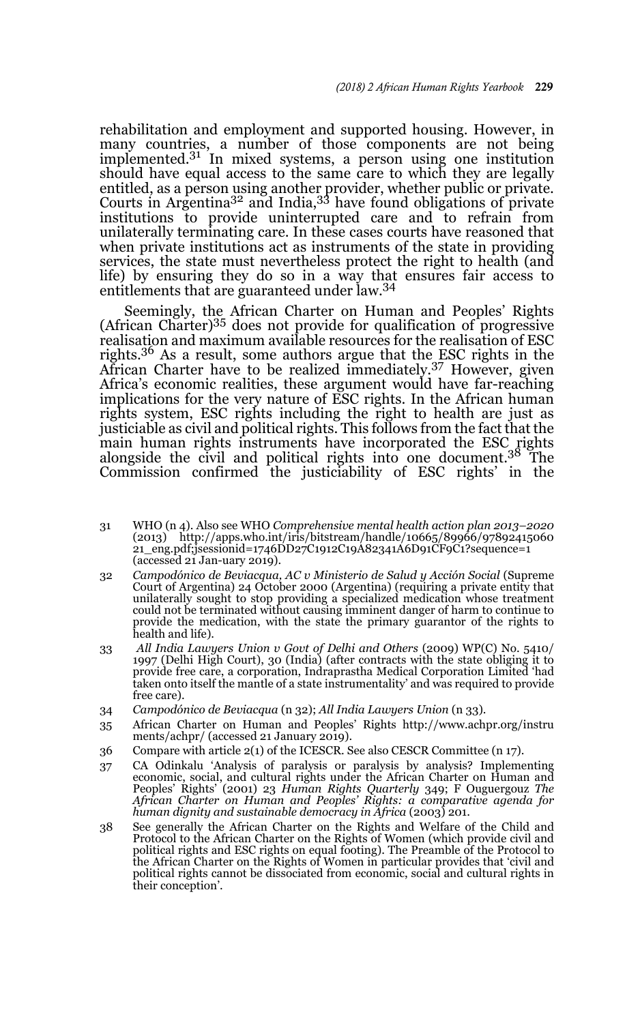rehabilitation and employment and supported housing. However, in many countries, a number of those components are not being implemented. $3<sup>1</sup>$  In mixed systems, a person using one institution should have equal access to the same care to which they are legally entitled, as a person using another provider, whether public or private.<br>Courts in Argentina<sup>32</sup> and India,<sup>33</sup> have found obligations of private institutions to provide uninterrupted care and to refrain from unilaterally terminating care. In these cases courts have reasoned that when private institutions act as instruments of the state in providing services, the state must nevertheless protect the right to health (and life) by ensuring they do so in a way that ensures fair access to entitlements that are guaranteed under law.<sup>34</sup>

Seemingly, the African Charter on Human and Peoples' Rights (African Charter)35 does not provide for qualification of progressive realisation and maximum available resources for the realisation of ESC rights.<sup>36</sup> As a result, some authors argue that the ESC rights in the African Charter have to be realized immediately.37 However, given Africa's economic realities, these argument would have far-reaching implications for the very nature of ESC rights. In the African human rights system, ESC rights including the right to health are just as justiciable as civil and political rights. This follows from the fact that the main human rights instruments have incorporated the ESC rights alongside the civil and political rights into one document.38 The Commission confirmed the justiciability of ESC rights' in the

- 31 WHO (n 4). Also see WHO *Comprehensive mental health action plan 2013–2020* (2013) http://apps.who.int/iris/bitstream/handle/10665/89966/97892415060 21\_eng.pdf;jsessionid=1746DD27C1912C19A82341A6D91CF9C1?sequence=1 (accessed 21 Jan-uary 2019).
- 32 *Campodónico de Beviacqua, AC v Ministerio de Salud y Acción Social* (Supreme Court of Argentina) 24 October 2000 (Argentina) (requiring a private entity that unilaterally sought to stop providing a specialized medication whose treatment could not be terminated without causing imminent danger of harm to continue to provide the medication, with the state the primary guarantor of the rights to health and life).
- 33 All India Lawyers Union v Govt of Delhi and Others (2009) WP(C) No. 5410/<br>1997 (Delhi High Court), 30 (India) (after contracts with the state obliging it to<br>provide free care, a corporation, Indraprastha Medical Corpora taken onto itself the mantle of a state instrumentality' and was required to provide free care).
- 34 *Campodónico de Beviacqua* (n 32); *All India Lawyers Union* (n 33).
- 35 African Charter on Human and Peoples' Rights http://www.achpr.org/instru ments/achpr/ (accessed 21 January 2019).
- 36 Compare with article 2(1) of the ICESCR. See also CESCR Committee (n 17).
- 37 CA Odinkalu 'Analysis of paralysis or paralysis by analysis? Implementing economic, social, and cultural rights under the African Charter on Human and Peoples' Rights' (2001) 23 *Human Rights Quarterly* 349; F Ouguergouz *The African Charter on Human and Peoples' Rights: a comparative agenda for human dignity and sustainable democracy in Africa* (2003) 201.
- 38 See generally the African Charter on the Rights and Welfare of the Child and Protocol to the African Charter on the Rights of Women (which provide civil and political rights and ESC rights on equal footing). The Preamble of the Protocol to the African Charter on the Rights of Women in particular provides that 'civil and political rights cannot be dissociated from economic, social and cultural rights in their conception'.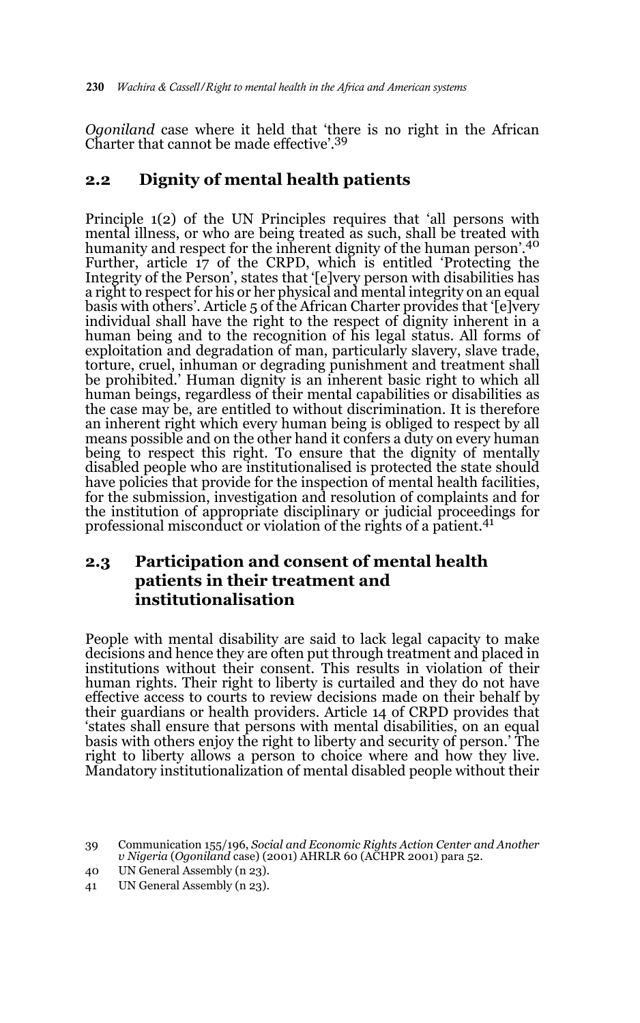*Ogoniland* case where it held that 'there is no right in the African Charter that cannot be made effective'.39

## **2.2 Dignity of mental health patients**

Principle 1(2) of the UN Principles requires that 'all persons with mental illness, or who are being treated as such, shall be treated with humanity and respect for the inherent dignity of the human person'.<sup>40</sup> Further, article 17 of the CRPD, which is entitled 'Protecting the Integrity of the Person', states that '[e]very person with disabilities has a right to respect for his or her physical and mental integrity on an equal basis with others'. Article 5 of the African Charter provides that '[e]very individual shall have the right to the respect of dignity inherent in a human being and to the recognition of his legal status. All forms of exploitation and degradation of man, particularly slavery, slave trade, torture, cruel, inhuman or degrading punishment and treatment shall be prohibited.' Human dignity is an inherent basic right to which all human beings, regardless of their mental capabilities or disabilities as the case may be, are entitled to without discrimination. It is therefore an inherent right which every human being is obliged to respect by all means possible and on the other hand it confers a duty on every human being to respect this right. To ensure that the dignity of mentally disabled people who are institutionalised is protected the state should have policies that provide for the inspection of mental health facilities, for the submission, investigation and resolution of complaints and for the institution of appropriate disciplinary or judicial proceedings for professional misconduct or violation of the rights of a patient.<sup>41</sup>

## **2.3 Participation and consent of mental health patients in their treatment and institutionalisation**

People with mental disability are said to lack legal capacity to make decisions and hence they are often put through treatment and placed in institutions without their consent. This results in violation of their human rights. Their right to liberty is curtailed and they do not have effective access to courts to review decisions made on their behalf by their guardians or health providers. Article 14 of CRPD provides that 'states shall ensure that persons with mental disabilities, on an equal basis with others enjoy the right to liberty and security of person.' The right to liberty allows a person to choice where and how they live. Mandatory institutionalization of mental disabled people without their

<sup>39</sup> Communication 155/196, *Social and Economic Rights Action Center and Another v Nigeria* (*Ogoniland* case) (2001) AHRLR 60 (ACHPR 2001) para 52.

<sup>40</sup> UN General Assembly (n 23).

<sup>41</sup> UN General Assembly (n 23).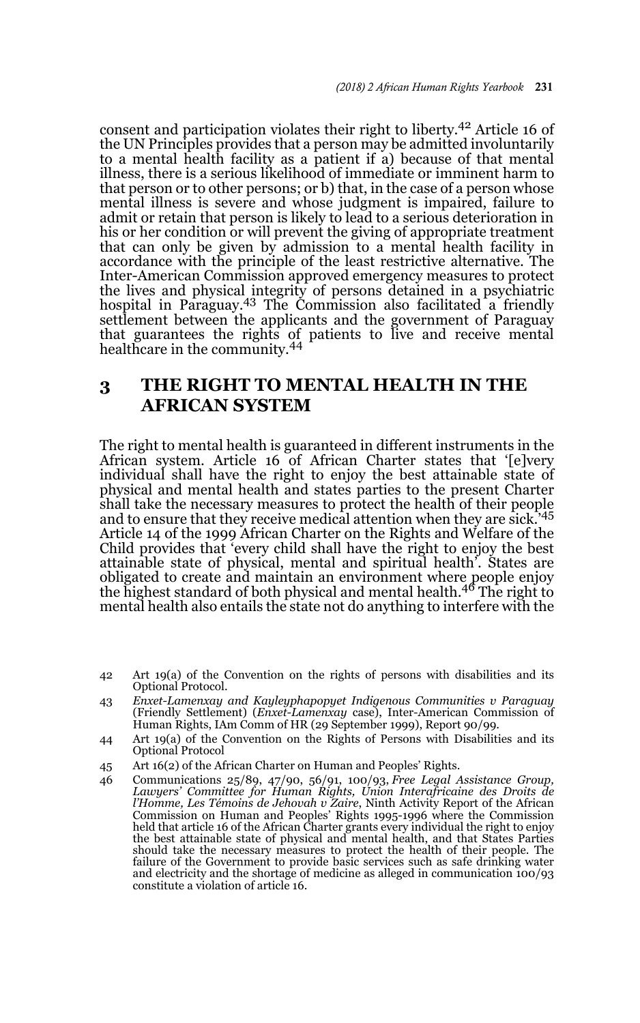consent and participation violates their right to liberty.42 Article 16 of the UN Principles provides that a person may be admitted involuntarily to a mental health facility as a patient if a) because of that mental illness, there is a serious likelihood of immediate or imminent harm to that person or to other persons; or b) that, in the case of a person whose mental illness is severe and whose judgment is impaired, failure to admit or retain that person is likely to lead to a serious deterioration in his or her condition or will prevent the giving of appropriate treatment that can only be given by admission to a mental health facility in accordance with the principle of the least restrictive alternative. The Inter-American Commission approved emergency measures to protect the lives and physical integrity of persons detained in a psychiatric hospital in Paraguay.43 The Commission also facilitated a friendly settlement between the applicants and the government of Paraguay that guarantees the rights of patients to live and receive mental healthcare in the community.<sup>44</sup>

## **3 THE RIGHT TO MENTAL HEALTH IN THE AFRICAN SYSTEM**

The right to mental health is guaranteed in different instruments in the African system. Article 16 of African Charter states that '[e]very individual shall have the right to enjoy the best attainable state of physical and mental health and states parties to the present Charter shall take the necessary measures to protect the health of their people and to ensure that they receive medical attention when they are sick.<sup>45</sup> Article 14 of the 1999 African Charter on the Rights and Welfare of the Child provides that 'every child shall have the right to enjoy the best attainable state of physical, mental and spiritual health'. States are obligated to create and maintain an environment where people enjoy<br>the highest standard of both physical and mental health.<sup>46</sup> The right to mental health also entails the state not do anything to interfere with the

- 42 Art 19(a) of the Convention on the rights of persons with disabilities and its Optional Protocol.
- 43 *Enxet-Lamenxay and Kayleyphapopyet Indigenous Communities v Paraguay* (Friendly Settlement) (*Enxet-Lamenxay* case), Inter-American Commission of Human Rights, IAm Comm of HR (29 September 1999), Report 90/99.
- 44 Art 19(a) of the Convention on the Rights of Persons with Disabilities and its Optional Protocol
- 45 Art 16(2) of the African Charter on Human and Peoples' Rights.
- 46 Communications 25/89, 47/90, 56/91, 100/93, *Free Legal Assistance Group, Lawyers' Committee for Human Rights, Union Interafricaine des Droits de l'Homme, Les Témoins de Jehovah v Zaire*, Ninth Activity Report of the African Commission on Human and Peoples' Rights 1995-1996 where the Commission held that article 16 of the African Charter grants every individual the right to enjoy the best attainable state of physical and mental health, and that States Parties should take the necessary measures to protect the health of their people. The failure of the Government to provide basic services such as safe drinking water and electricity and the shortage of medicine as alleged in communication 100/93 constitute a violation of article 16.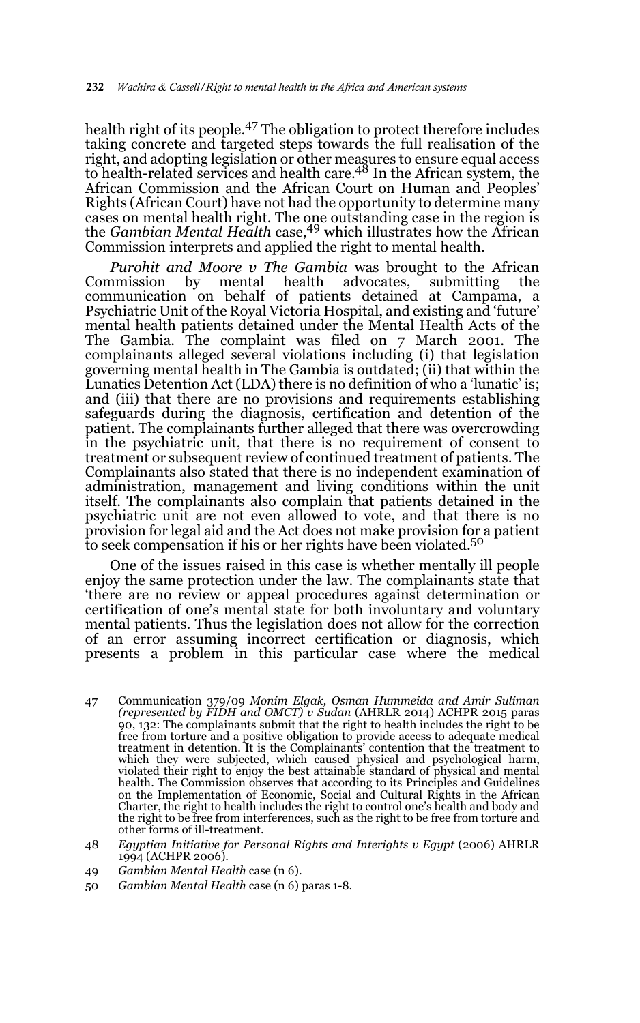health right of its people.47 The obligation to protect therefore includes taking concrete and targeted steps towards the full realisation of the right, and adopting legislation or other measures to ensure equal access to health-related services and health care.48 In the African system, the African Commission and the African Court on Human and Peoples' Rights (African Court) have not had the opportunity to determine many cases on mental health right. The one outstanding case in the region is the *Gambian Mental Health* case,49 which illustrates how the African Commission interprets and applied the right to mental health.

*Purohit and Moore v The Gambia* was brought to the African Commission by mental health advocates, submitting the communication on behalf of patients detained at Campama, a Psychiatric Unit of the Royal Victoria Hospital, and existing and 'future' mental health patients detained under the Mental Health Acts of the The Gambia. The complaint was filed on 7 March 2001. The complainants alleged several violations including (i) that legislation governing mental health in The Gambia is outdated; (ii) that within the Lunatics Detention Act (LDA) there is no definition of who a 'lunatic' is; and (iii) that there are no provisions and requirements establishing safeguards during the diagnosis, certification and detention of the patient. The complainants further alleged that there was overcrowding in the psychiatric unit, that there is no requirement of consent to treatment or subsequent review of continued treatment of patients. The Complainants also stated that there is no independent examination of administration, management and living conditions within the unit itself. The complainants also complain that patients detained in the psychiatric unit are not even allowed to vote, and that there is no provision for legal aid and the Act does not make provision for a patient to seek compensation if his or her rights have been violated.<sup>50</sup>

One of the issues raised in this case is whether mentally ill people enjoy the same protection under the law. The complainants state that 'there are no review or appeal procedures against determination or certification of one's mental state for both involuntary and voluntary mental patients. Thus the legislation does not allow for the correction of an error assuming incorrect certification or diagnosis, which presents a problem in this particular case where the medical

- 47 Communication 379/09 *Monim Elgak, Osman Hummeida and Amir Suliman (represented by FIDH and OMCT) v Sudan* (AHRLR 2014) ACHPR 2015 paras 90, 132: The complainants submit that the right to health includes the right to be free from torture and a positive obligation to provide access to adequate medical treatment in detention. It is the Complainants' contention that the treatment to which they were subjected, which caused physical and psychological harm, violated their right to enjoy the best attainable standard of physical and mental health. The Commission observes that according to its Principles and Guidelines on the Implementation of Economic, Social and Cultural Rights in the African Charter, the right to health includes the right to control one's health and body and the right to be free from interferences, such as the right to be free from torture and other forms of ill-treatment.
- 48 *Egyptian Initiative for Personal Rights and Interights v Egypt* (2006) AHRLR 1994 (ACHPR 2006).
- 49 *Gambian Mental Health* case (n 6).
- 50 *Gambian Mental Health* case (n 6) paras 1-8.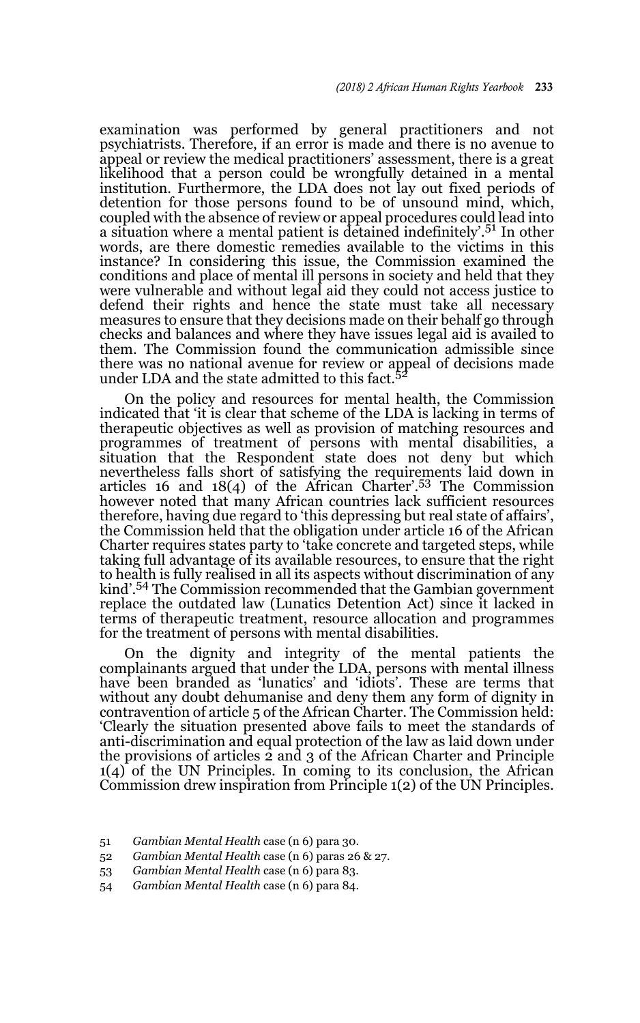examination was performed by general practitioners and not psychiatrists. Therefore, if an error is made and there is no avenue to appeal or review the medical practitioners' assessment, there is a great likelihood that a person could be wrongfully detained in a mental institution. Furthermore, the LDA does not lay out fixed periods of detention for those persons found to be of unsound mind, which, coupled with the absence of review or appeal procedures could lead into a situation where a mental patient is detained indefinitely'.<sup>51</sup> In other words, are there domestic remedies available to the victims in this instance? In considering this issue, the Commission examined the conditions and place of mental ill persons in society and held that they were vulnerable and without legal aid they could not access justice to defend their rights and hence the state must take all necessary measures to ensure that they decisions made on their behalf go through checks and balances and where they have issues legal aid is availed to them. The Commission found the communication admissible since there was no national avenue for review or appeal of decisions made under LDA and the state admitted to this fact. $^5$ 

On the policy and resources for mental health, the Commission indicated that 'it is clear that scheme of the LDA is lacking in terms of therapeutic objectives as well as provision of matching resources and programmes of treatment of persons with mental disabilities, a situation that the Respondent state does not deny but which nevertheless falls short of satisfying the requirements laid down in articles 16 and 18(4) of the African Charter'.53 The Commission however noted that many African countries lack sufficient resources therefore, having due regard to 'this depressing but real state of affairs', the Commission held that the obligation under article 16 of the African Charter requires states party to 'take concrete and targeted steps, while taking full advantage of its available resources, to ensure that the right to health is fully realised in all its aspects without discrimination of any kind'.54 The Commission recommended that the Gambian government replace the outdated law (Lunatics Detention Act) since it lacked in terms of therapeutic treatment, resource allocation and programmes for the treatment of persons with mental disabilities.

On the dignity and integrity of the mental patients the complainants argued that under the LDA, persons with mental illness have been branded as 'lunatics' and 'idiots'. These are terms that without any doubt dehumanise and deny them any form of dignity in contravention of article 5 of the African Charter. The Commission held: 'Clearly the situation presented above fails to meet the standards of anti-discrimination and equal protection of the law as laid down under the provisions of articles 2 and 3 of the African Charter and Principle 1(4) of the UN Principles. In coming to its conclusion, the African Commission drew inspiration from Principle 1(2) of the UN Principles.

54 *Gambian Mental Health* case (n 6) para 84.

<sup>51</sup> *Gambian Mental Health* case (n 6) para 30.

<sup>52</sup> *Gambian Mental Health* case (n 6) paras 26 & 27.

<sup>53</sup> *Gambian Mental Health* case (n 6) para 83.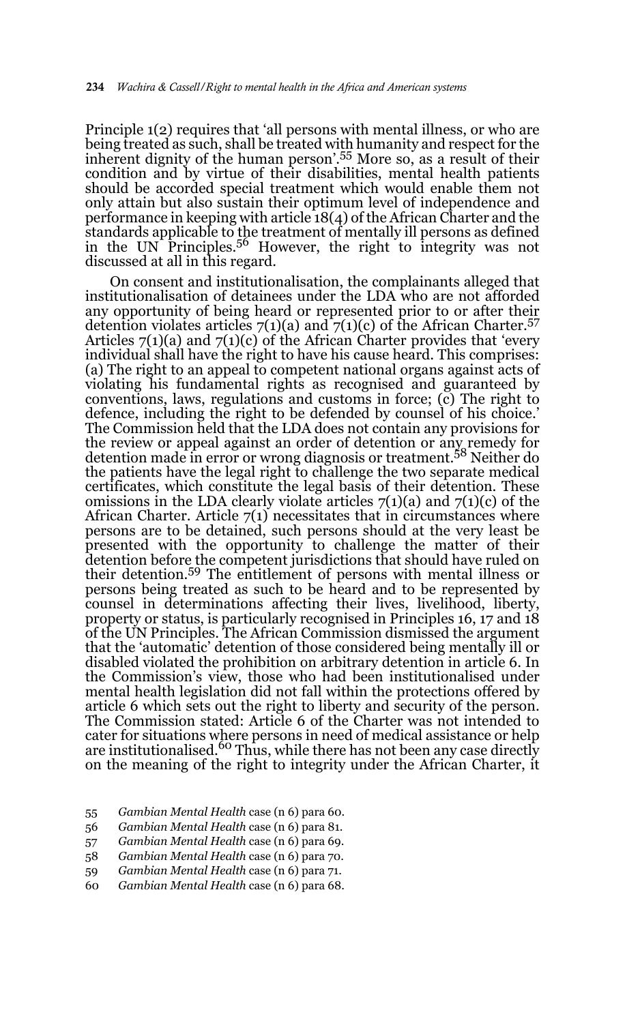Principle 1(2) requires that 'all persons with mental illness, or who are being treated as such, shall be treated with humanity and respect for the inherent dignity of the human person'.55 More so, as a result of their condition and by virtue of their disabilities, mental health patients should be accorded special treatment which would enable them not only attain but also sustain their optimum level of independence and performance in keeping with article 18(4) of the African Charter and the standards applicable to the treatment of mentally ill persons as defined in the UN Principles.56 However, the right to integrity was not discussed at all in this regard.

On consent and institutionalisation, the complainants alleged that institutionalisation of detainees under the LDA who are not afforded any opportunity of being heard or represented prior to or after their detention violates articles  $7(1)(a)$  and  $7(1)(c)$  of the African Charter.<sup>57</sup> Articles  $7(1)(a)$  and  $7(1)(c)$  of the African Charter provides that 'every individual shall have the right to have his cause heard. This comprises: (a) The right to an appeal to competent national organs against acts of violating his fundamental rights as recognised and guaranteed by conventions, laws, regulations and customs in force; (c) The right to defence, including the right to be defended by counsel of his choice.' The Commission held that the LDA does not contain any provisions for the review or appeal against an order of detention or any remedy for detention made in error or wrong diagnosis or treatment.58 Neither do the patients have the legal right to challenge the two separate medical certificates, which constitute the legal basis of their detention. These omissions in the LDA clearly violate articles  $7(1)(a)$  and  $7(1)(c)$  of the African Charter. Article  $7(1)$  necessitates that in circumstances where persons are to be detained, such persons should at the very least be presented with the opportunity to challenge the matter of their detention before the competent jurisdictions that should have ruled on their detention.59 The entitlement of persons with mental illness or persons being treated as such to be heard and to be represented by counsel in determinations affecting their lives, livelihood, liberty, property or status, is particularly recognised in Principles 16, 17 and 18 of the UN Principles. The African Commission dismissed the argument that the 'automatic' detention of those considered being mentally ill or disabled violated the prohibition on arbitrary detention in article 6. In the Commission's view, those who had been institutionalised under mental health legislation did not fall within the protections offered by article 6 which sets out the right to liberty and security of the person. The Commission stated: Article 6 of the Charter was not intended to cater for situations where persons in need of medical assistance or help are institutionalised.<sup>60</sup> Thus, while there has not been any case directly on the meaning of the right to integrity under the African Charter, it

- 55 *Gambian Mental Health* case (n 6) para 60.
- 56 *Gambian Mental Health* case (n 6) para 81.
- 57 *Gambian Mental Health* case (n 6) para 69.
- 58 *Gambian Mental Health* case (n 6) para 70.
- 59 *Gambian Mental Health* case (n 6) para 71.
- 60 *Gambian Mental Health* case (n 6) para 68.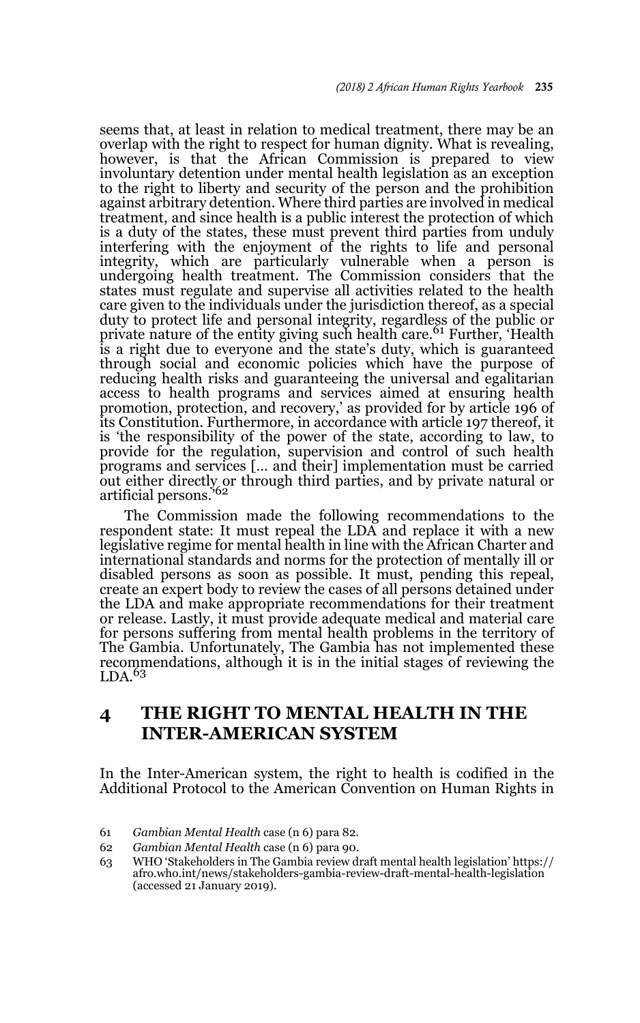seems that, at least in relation to medical treatment, there may be an overlap with the right to respect for human dignity. What is revealing, however, is that the African Commission is prepared to view involuntary detention under mental health legislation as an exception to the right to liberty and security of the person and the prohibition against arbitrary detention. Where third parties are involved in medical treatment, and since health is a public interest the protection of which is a duty of the states, these must prevent third parties from unduly interfering with the enjoyment of the rights to life and personal integrity, which are particularly vulnerable when a person is undergoing health treatment. The Commission considers that the states must regulate and supervise all activities related to the health care given to the individuals under the jurisdiction thereof, as a special duty to protect life and personal integrity, regardless of the public or<br>private nature of the entity giving such health care.<sup>61</sup> Further, 'Health is a right due to everyone and the state's duty, which is guaranteed through social and economic policies which have the purpose of reducing health risks and guaranteeing the universal and egalitarian access to health programs and services aimed at ensuring health promotion, protection, and recovery,' as provided for by article 196 of its Constitution. Furthermore, in accordance with article 197 thereof, it is 'the responsibility of the power of the state, according to law, to provide for the regulation, supervision and control of such health programs and services [… and their] implementation must be carried out either directly or through third parties, and by private natural or<br>artificial persons.'<sup>62</sup>

The Commission made the following recommendations to the respondent state: It must repeal the LDA and replace it with a new legislative regime for mental health in line with the African Charter and international standards and norms for the protection of mentally ill or disabled persons as soon as possible. It must, pending this repeal, create an expert body to review the cases of all persons detained under the LDA and make appropriate recommendations for their treatment or release. Lastly, it must provide adequate medical and material care for persons suffering from mental health problems in the territory of The Gambia. Unfortunately, The Gambia has not implemented these recommendations, although it is in the initial stages of reviewing the  $LDA.63$ 

## **4 THE RIGHT TO MENTAL HEALTH IN THE INTER-AMERICAN SYSTEM**

In the Inter-American system, the right to health is codified in the Additional Protocol to the American Convention on Human Rights in

<sup>61</sup> *Gambian Mental Health* case (n 6) para 82.

<sup>62</sup> *Gambian Mental Health* case (n 6) para 90.

<sup>63</sup> WHO 'Stakeholders in The Gambia review draft mental health legislation' https:// afro.who.int/news/stakeholders-gambia-review-draft-mental-health-legislation (accessed 21 January 2019).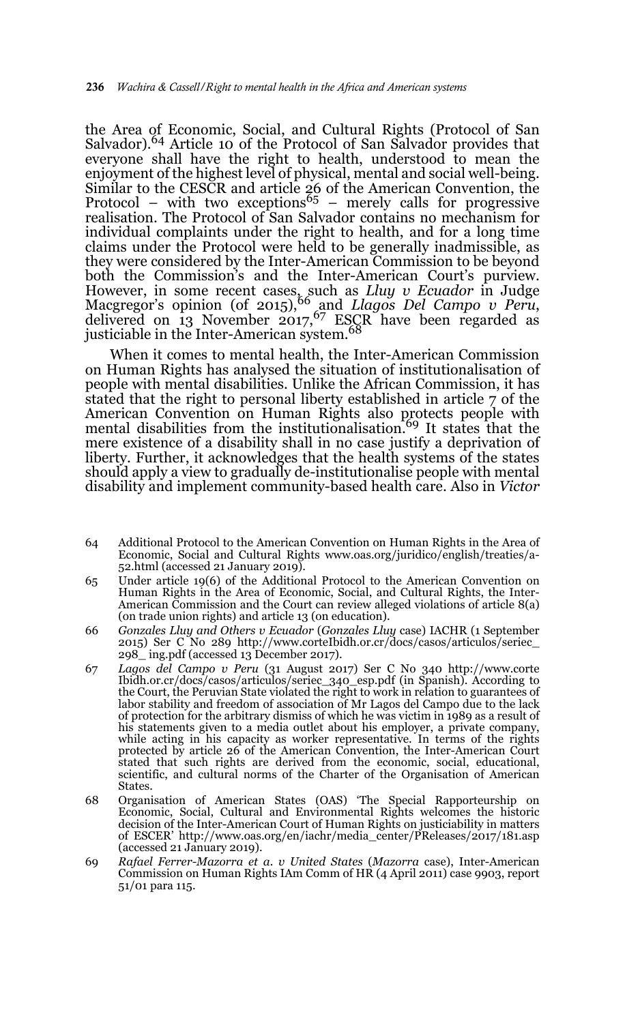the Area of Economic, Social, and Cultural Rights (Protocol of San Salvador).<sup>64</sup> Article 10 of the Protocol of San Salvador provides that everyone shall have the right to health, understood to mean the enjoyment of the highest level of physical, mental and social well-being. Similar to the CESCR and article 26 of the American Convention, the<br>Protocol – with two exceptions<sup>65</sup> – merely calls for progressive realisation. The Protocol of San Salvador contains no mechanism for individual complaints under the right to health, and for a long time claims under the Protocol were held to be generally inadmissible, as they were considered by the Inter-American Commission to be beyond both the Commission's and the Inter-American Court's purview. However, in some recent cases, such as *Lluy v Ecuador* in Judge<br>Macgregor's opinion (of 2015),<sup>66</sup> and *Llagos Del Campo v Peru*, delivered on 13 November 2017,  $67$  ESCR have been regarded as justiciable in the Inter-American system.<sup>68</sup>

When it comes to mental health, the Inter-American Commission on Human Rights has analysed the situation of institutionalisation of people with mental disabilities. Unlike the African Commission, it has stated that the right to personal liberty established in article 7 of the American Convention on Human Rights also protects people with mental disabilities from the institutionalisation.<sup>69</sup> It states that the mere existence of a disability shall in no case justify a deprivation of liberty. Further, it acknowledges that the health systems of the states should apply a view to gradually de-institutionalise people with mental disability and implement community-based health care. Also in *Victor*

- 64 Additional Protocol to the American Convention on Human Rights in the Area of Economic, Social and Cultural Rights www.oas.org/juridico/english/treaties/a-52.html (accessed 21 January 2019).
- 65 Under article 19(6) of the Additional Protocol to the American Convention on Human Rights in the Area of Economic, Social, and Cultural Rights, the Inter-American Commission and the Court can review alleged violations of article 8(a) (on trade union rights) and article 13 (on education).
- 66 *Gonzales Lluy and Others v Ecuador* (*Gonzales Lluy* case) IACHR (1 September 2015) Ser C No 289 http://www.corteIbidh.or.cr/docs/casos/articulos/seriec\_ 298\_ ing.pdf (accessed 13 December 2017).
- 67 *Lagos del Campo v Peru* (31 August 2017) Ser C No 340 http://www.corte Ibidh.or.cr/docs/casos/articulos/seriec\_340\_esp.pdf (in Spanish). According to the Court, the Peruvian State violated the right to work in relation to guarantees of labor stability and freedom of association of Mr Lagos del Campo due to the lack of protection for the arbitrary dismiss of which he was victim in 1989 as a result of his statements given to a media outlet about his employer, a private company, while acting in his capacity as worker representative. In terms of the rights protected by article 26 of the American Convention, the Inter-American Court stated that such rights are derived from the economic, social, educational, scientific, and cultural norms of the Charter of the Organisation of American States.
- 68 Organisation of American States (OAS) 'The Special Rapporteurship on Economic, Social, Cultural and Environmental Rights welcomes the historic decision of the Inter-American Court of Human Rights on justiciability in matters of ESCER' http://www.oas.org/en/iachr/media\_center/PReleases/2017/181.asp (accessed 21 January 2019).
- 69 *Rafael Ferrer-Mazorra et a. v United States* (*Mazorra* case), Inter-American Commission on Human Rights IAm Comm of HR (4 April 2011) case 9903, report 51/01 para 115.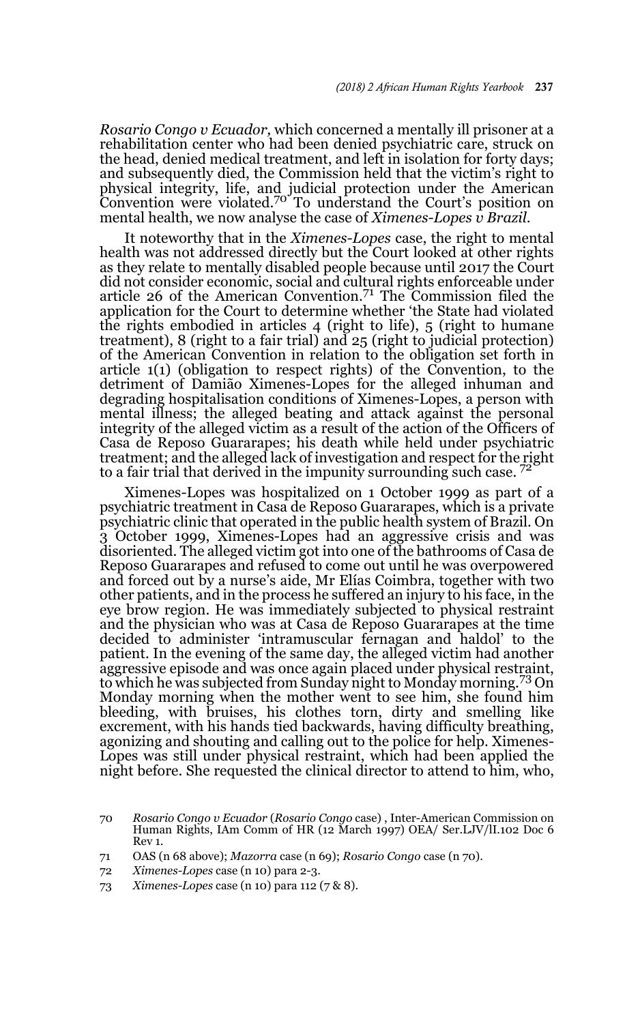*Rosario Congo v Ecuador,* which concerned a mentally ill prisoner at a rehabilitation center who had been denied psychiatric care, struck on the head, denied medical treatment, and left in isolation for forty days; and subsequently died, the Commission held that the victim's right to physical integrity, life, and judicial protection under the American<br>Convention were violated.<sup>70</sup> To understand the Court's position on mental health, we now analyse the case of *Ximenes-Lopes v Brazil*.

It noteworthy that in the *Ximenes-Lopes* case, the right to mental health was not addressed directly but the Court looked at other rights as they relate to mentally disabled people because until 2017 the Court did not consider economic, social and cultural rights enforceable under article 26 of the American Convention.71 The Commission filed the application for the Court to determine whether 'the State had violated the rights embodied in articles 4 (right to life), 5 (right to humane treatment), 8 (right to a fair trial) and 25 (right to judicial protection) of the American Convention in relation to the obligation set forth in article 1(1) (obligation to respect rights) of the Convention, to the detriment of Damião Ximenes-Lopes for the alleged inhuman and degrading hospitalisation conditions of Ximenes-Lopes, a person with mental illness; the alleged beating and attack against the personal integrity of the alleged victim as a result of the action of the Officers of Casa de Reposo Guararapes; his death while held under psychiatric treatment; and the alleged lack of investigation and respect for the right to a fair trial that derived in the impunity surrounding such case.  $7<sup>2</sup>$ 

Ximenes-Lopes was hospitalized on 1 October 1999 as part of a psychiatric treatment in Casa de Reposo Guararapes, which is a private psychiatric clinic that operated in the public health system of Brazil. On 3 October 1999, Ximenes-Lopes had an aggressive crisis and was disoriented. The alleged victim got into one of the bathrooms of Casa de Reposo Guararapes and refused to come out until he was overpowered and forced out by a nurse's aide, Mr Elías Coimbra, together with two other patients, and in the process he suffered an injury to his face, in the eye brow region. He was immediately subjected to physical restraint and the physician who was at Casa de Reposo Guararapes at the time decided to administer 'intramuscular fernagan and haldol' to the patient. In the evening of the same day, the alleged victim had another aggressive episode and was once again placed under physical restraint, to which he was subjected from Sunday night to Monday morning.73 On Monday morning when the mother went to see him, she found him bleeding, with bruises, his clothes torn, dirty and smelling like excrement, with his hands tied backwards, having difficulty breathing, agonizing and shouting and calling out to the police for help. Ximenes-Lopes was still under physical restraint, which had been applied the night before. She requested the clinical director to attend to him, who,

<sup>70</sup> *Rosario Congo v Ecuador* (*Rosario Congo* case) , Inter-American Commission on Human Rights, IAm Comm of HR (12 March 1997) OEA/ Ser.LJV/lI.102 Doc 6 Rev 1.

<sup>71</sup> OAS (n 68 above); *Mazorra* case (n 69); *Rosario Congo* case (n 70).

<sup>72</sup> *Ximenes-Lopes* case (n 10) para 2-3.

<sup>73</sup> *Ximenes-Lopes* case (n 10) para 112 (7 & 8).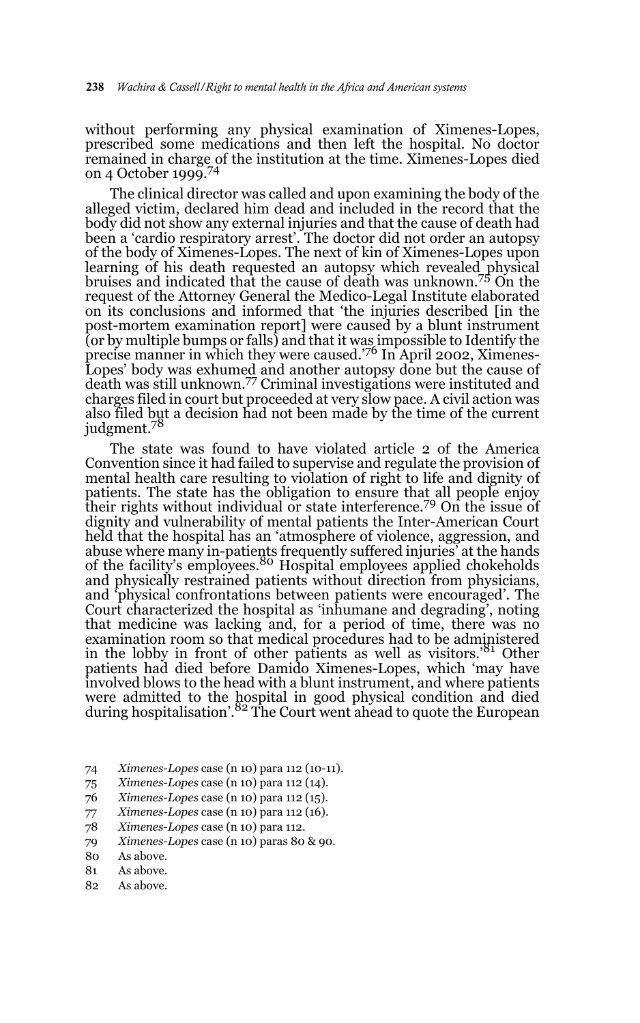without performing any physical examination of Ximenes-Lopes, prescribed some medications and then left the hospital. No doctor remained in charge of the institution at the time. Ximenes-Lopes died on 4 October 1999.<sup>74</sup>

The clinical director was called and upon examining the body of the alleged victim, declared him dead and included in the record that the body did not show any external injuries and that the cause of death had been a 'cardio respiratory arrest'. The doctor did not order an autopsy of the body of Ximenes-Lopes. The next of kin of Ximenes-Lopes upon learning of his death requested an autopsy which revealed physical bruises and indicated that the cause of death was unknown.75 On the request of the Attorney General the Medico-Legal Institute elaborated on its conclusions and informed that 'the injuries described [in the post-mortem examination report] were caused by a blunt instrument (or by multiple bumps or falls) and that it was impossible to Identify the precise manner in which they were caused.<sup>76</sup> In April 2002, Ximenes-Lopes' body was exhumed and another autopsy done but the cause of death was still unknown.77 Criminal investigations were instituted and charges filed in court but proceeded at very slow pace. A civil action was also filed but a decision had not been made by the time of the current judgment.<sup>78</sup>

The state was found to have violated article 2 of the America Convention since it had failed to supervise and regulate the provision of mental health care resulting to violation of right to life and dignity of patients. The state has the obligation to ensure that all people enjoy their rights without individual or state interference.79 On the issue of dignity and vulnerability of mental patients the Inter-American Court held that the hospital has an 'atmosphere of violence, aggression, and abuse where many in-patients frequently suffered injuries' at the hands<br>of the facility's employees.<sup>80</sup> Hospital employees applied chokeholds and physically restrained patients without direction from physicians, and 'physical confrontations between patients were encouraged'. The Court characterized the hospital as 'inhumane and degrading', noting that medicine was lacking and, for a period of time, there was no examination room so that medical procedures had to be administered in the lobby in front of other patients as well as visitors.'81 Other patients had died before Damido Ximenes-Lopes, which 'may have involved blows to the head with a blunt instrument, and where patients were admitted to the hospital in good physical condition and died during hospitalisation'.82 The Court went ahead to quote the European

- 74 *Ximenes-Lopes* case (n 10) para 112 (10-11).
- 75 *Ximenes-Lopes* case (n 10) para 112 (14).
- 76 *Ximenes-Lopes* case (n 10) para 112 (15).
- 77 *Ximenes-Lopes* case (n 10) para 112 (16).
- 78 *Ximenes-Lopes* case (n 10) para 112.
- 79 *Ximenes-Lopes* case (n 10) paras 80 & 90.
- 80 As above.
- 81 As above.
- 82 As above.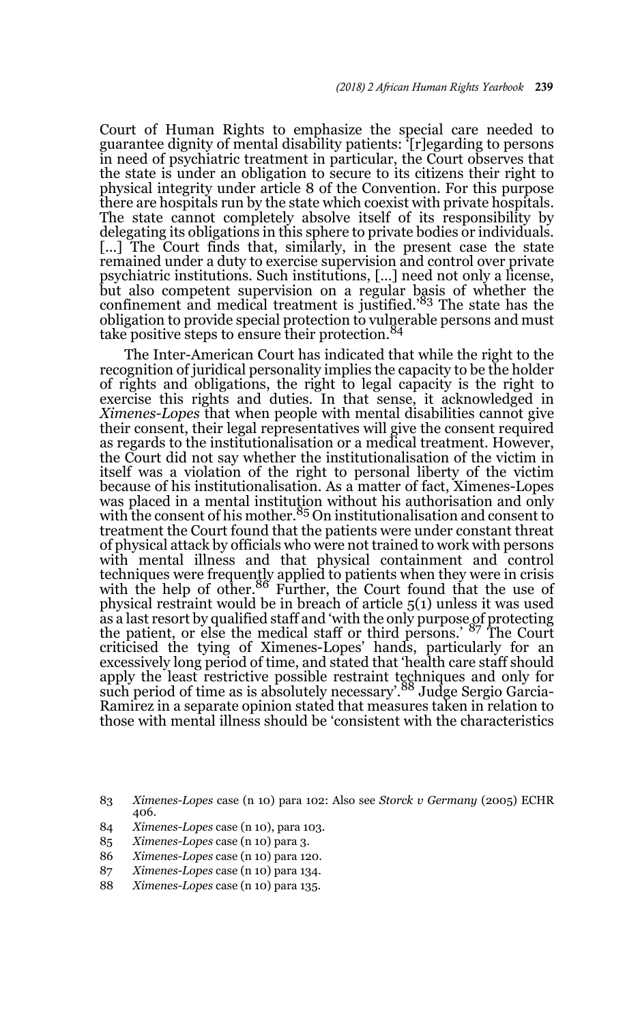Court of Human Rights to emphasize the special care needed to guarantee dignity of mental disability patients: '[r]egarding to persons in need of psychiatric treatment in particular, the Court observes that the state is under an obligation to secure to its citizens their right to physical integrity under article 8 of the Convention. For this purpose there are hospitals run by the state which coexist with private hospitals. The state cannot completely absolve itself of its responsibility by delegating its obligations in this sphere to private bodies or individuals. [...] The Court finds that, similarly, in the present case the state remained under a duty to exercise supervision and control over private psychiatric institutions. Such institutions, […] need not only a license, but also competent supervision on a regular basis of whether the confinement and medical treatment is justified.'83 The state has the obligation to provide special protection to vulnerable persons and must<br>take positive steps to ensure their protection.<sup>84</sup>

The Inter-American Court has indicated that while the right to the recognition of juridical personality implies the capacity to be the holder of rights and obligations, the right to legal capacity is the right to exercise this rights and duties. In that sense, it acknowledged in *Ximenes-Lopes* that when people with mental disabilities cannot give their consent, their legal representatives will give the consent required as regards to the institutionalisation or a medical treatment. However, the Court did not say whether the institutionalisation of the victim in itself was a violation of the right to personal liberty of the victim because of his institutionalisation. As a matter of fact, Ximenes-Lopes was placed in a mental institution without his authorisation and only<br>with the consent of his mother.<sup>85</sup> On institutionalisation and consent to treatment the Court found that the patients were under constant threat of physical attack by officials who were not trained to work with persons with mental illness and that physical containment and control techniques were frequently applied to patients when they were in crisis with the help of other.<sup>86</sup> Further, the Court found that the use of physical restraint would be in breach of article 5(1) unless it was used as a last resort by qualified staff and 'with the only purpose of protecting<br>the patient, or else the medical staff or third persons.' <sup>87</sup> The Court criticised the tying of Ximenes-Lopes' hands, particularly for an excessively long period of time, and stated that 'health care staff should apply the least restrictive possible restraint techniques and only for<br>such period of time as is absolutely necessary'.<sup>88</sup> Judge Sergio Garcia-Ramirez in a separate opinion stated that measures taken in relation to those with mental illness should be 'consistent with the characteristics

- 85 *Ximenes-Lopes* case (n 10) para 3.
- 86 *Ximenes-Lopes* case (n 10) para 120.
- 87 *Ximenes-Lopes* case (n 10) para 134.
- 88 *Ximenes-Lopes* case (n 10) para 135.

<sup>83</sup> *Ximenes-Lopes* case (n 10) para 102: Also see *Storck v Germany* (2005) ECHR 406.

<sup>84</sup> *Ximenes-Lopes* case (n 10), para 103.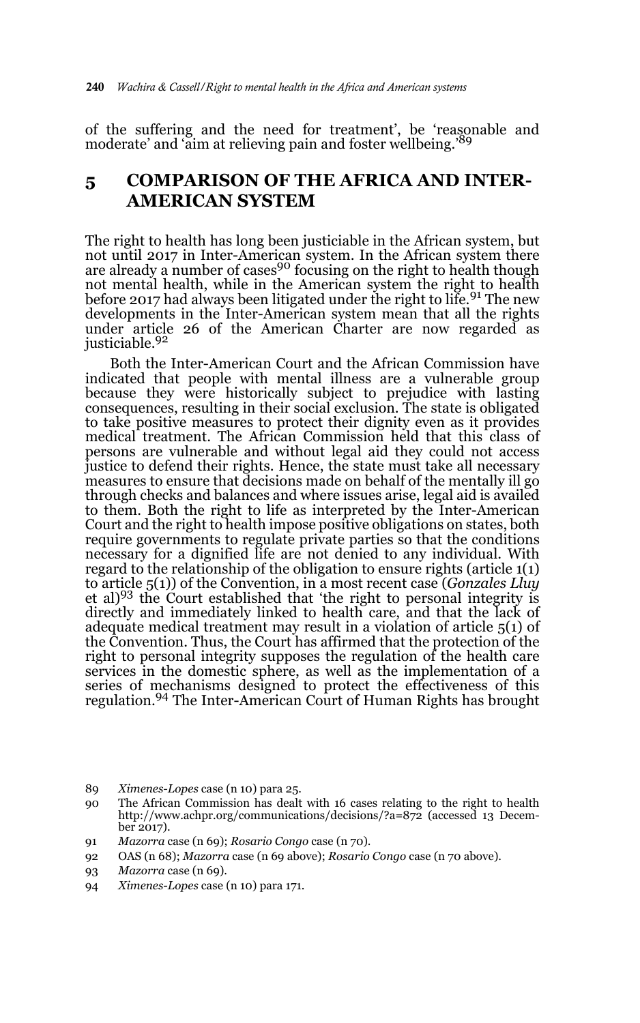of the suffering and the need for treatment', be 'reasonable and moderate' and 'aim at relieving pain and foster wellbeing.'<sup>89</sup>

### **5 COMPARISON OF THE AFRICA AND INTER-AMERICAN SYSTEM**

The right to health has long been justiciable in the African system, but not until 2017 in Inter-American system. In the African system there are already a number of cases<sup>90</sup> focusing on the right to health though not mental health, while in the American system the right to health before 2017 had always been litigated under the right to life.<sup>91</sup> The new developments in the Inter-American system mean that all the rights under article 26 of the American Charter are now regarded as justiciable.92

Both the Inter-American Court and the African Commission have indicated that people with mental illness are a vulnerable group because they were historically subject to prejudice with lasting consequences, resulting in their social exclusion. The state is obligated to take positive measures to protect their dignity even as it provides medical treatment. The African Commission held that this class of persons are vulnerable and without legal aid they could not access justice to defend their rights. Hence, the state must take all necessary measures to ensure that decisions made on behalf of the mentally ill go through checks and balances and where issues arise, legal aid is availed to them. Both the right to life as interpreted by the Inter-American Court and the right to health impose positive obligations on states, both require governments to regulate private parties so that the conditions necessary for a dignified life are not denied to any individual. With regard to the relationship of the obligation to ensure rights (article 1(1) to article 5(1)) of the Convention, in a most recent case (*Gonzales Lluy* et al)<sup>93</sup> the Court established that 'the right to personal integrity is directly and immediately linked to health care, and that the lack of adequate medical treatment may result in a violation of article 5(1) of the Convention. Thus, the Court has affirmed that the protection of the right to personal integrity supposes the regulation of the health care services in the domestic sphere, as well as the implementation of a series of mechanisms designed to protect the effectiveness of this regulation.94 The Inter-American Court of Human Rights has brought

- 91 *Mazorra* case (n 69); *Rosario Congo* case (n 70).
- 92 OAS (n 68); *Mazorra* case (n 69 above); *Rosario Congo* case (n 70 above).

94 *Ximenes-Lopes* case (n 10) para 171.

<sup>89</sup> *Ximenes-Lopes* case (n 10) para 25.

<sup>90</sup> The African Commission has dealt with 16 cases relating to the right to health http://www.achpr.org/communications/decisions/?a=872 (accessed 13 December 2017).

<sup>93</sup> *Mazorra* case (n 69).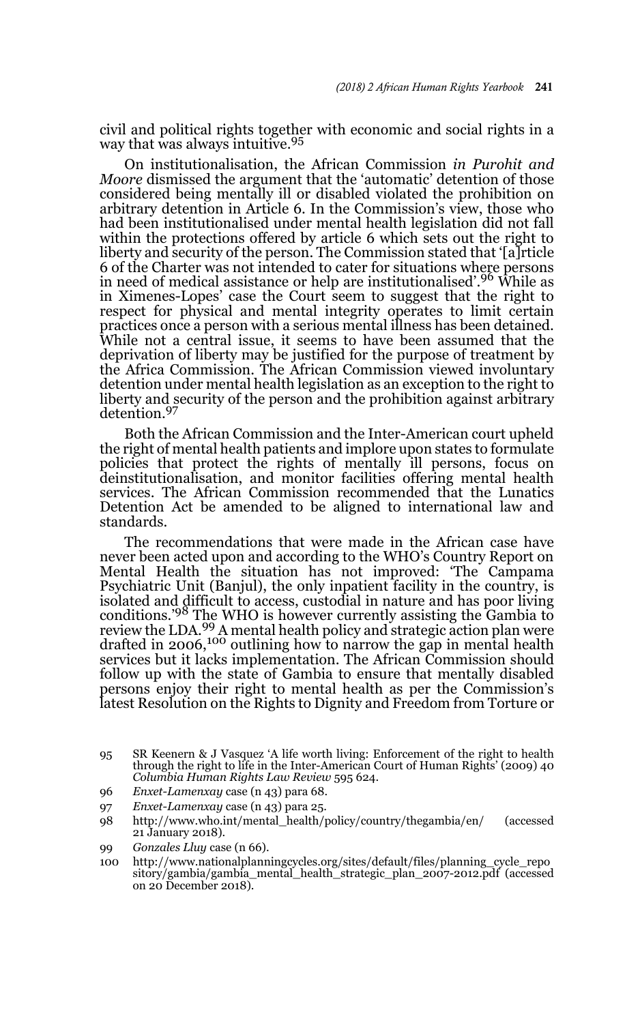civil and political rights together with economic and social rights in a way that was always intuitive.<sup>95</sup>

On institutionalisation, the African Commission *in Purohit and Moore* dismissed the argument that the 'automatic' detention of those considered being mentally ill or disabled violated the prohibition on arbitrary detention in Article 6. In the Commission's view, those who had been institutionalised under mental health legislation did not fall within the protections offered by article 6 which sets out the right to liberty and security of the person. The Commission stated that '[a]rticle 6 of the Charter was not intended to cater for situations where persons in need of medical assistance or help are institutionalised'.96 While as in Ximenes-Lopes' case the Court seem to suggest that the right to respect for physical and mental integrity operates to limit certain practices once a person with a serious mental illness has been detained. While not a central issue, it seems to have been assumed that the deprivation of liberty may be justified for the purpose of treatment by the Africa Commission. The African Commission viewed involuntary detention under mental health legislation as an exception to the right to liberty and security of the person and the prohibition against arbitrary detention.<sup>97</sup>

Both the African Commission and the Inter-American court upheld the right of mental health patients and implore upon states to formulate policies that protect the rights of mentally ill persons, focus on deinstitutionalisation, and monitor facilities offering mental health services. The African Commission recommended that the Lunatics Detention Act be amended to be aligned to international law and standards.

The recommendations that were made in the African case have never been acted upon and according to the WHO's Country Report on Mental Health the situation has not improved: 'The Campama Psychiatric Unit (Banjul), the only inpatient facility in the country, is isolated and difficult to access, custodial in nature and has poor living conditions.'98 The WHO is however currently assisting the Gambia to review the LDA.<sup>99</sup> A mental health policy and strategic action plan were drafted in 2006,<sup>100</sup> outlining how to narrow the gap in mental health services but it lacks implementation. The African Commission should follow up with the state of Gambia to ensure that mentally disabled persons enjoy their right to mental health as per the Commission's latest Resolution on the Rights to Dignity and Freedom from Torture or

- 96 *Enxet-Lamenxay* case (n 43) para 68.
- 97 *Enxet-Lamenxay* case (n 43) para 25.
- 98 http://www.who.int/mental\_health/policy/country/thegambia/en/ (accessed 21 January 2018).
- 99 *Gonzales Lluy* case (n 66).
- 100 http://www.nationalplanningcycles.org/sites/default/files/planning\_cycle\_repo sitory/gambia/gambia\_mental\_health\_strategic\_plan\_2007-2012.pdf (accessed on 20 December 2018).

<sup>95</sup> SR Keenern & J Vasquez 'A life worth living: Enforcement of the right to health through the right to life in the Inter-American Court of Human Rights' (2009) 40 *Columbia Human Rights Law Review* 595 624.